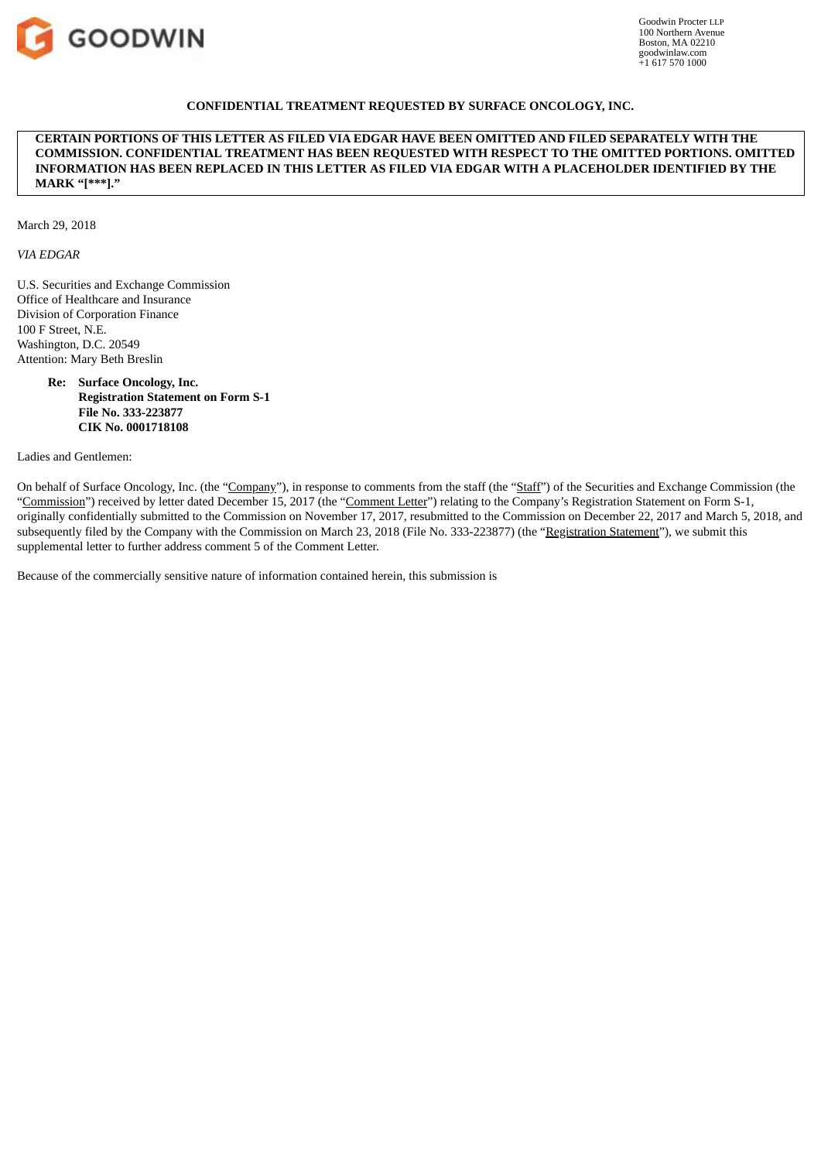

#### **CONFIDENTIAL TREATMENT REQUESTED BY SURFACE ONCOLOGY, INC.**

**CERTAIN PORTIONS OF THIS LETTER AS FILED VIA EDGAR HAVE BEEN OMITTED AND FILED SEPARATELY WITH THE COMMISSION. CONFIDENTIAL TREATMENT HAS BEEN REQUESTED WITH RESPECT TO THE OMITTED PORTIONS. OMITTED INFORMATION HAS BEEN REPLACED IN THIS LETTER AS FILED VIA EDGAR WITH A PLACEHOLDER IDENTIFIED BY THE MARK "[\*\*\*]."**

March 29, 2018

*VIA EDGAR*

U.S. Securities and Exchange Commission Office of Healthcare and Insurance Division of Corporation Finance 100 F Street, N.E. Washington, D.C. 20549 Attention: Mary Beth Breslin

> **Re: Surface Oncology, Inc. Registration Statement on Form S-1 File No. 333-223877 CIK No. 0001718108**

Ladies and Gentlemen:

On behalf of Surface Oncology, Inc. (the "Company"), in response to comments from the staff (the "Staff") of the Securities and Exchange Commission (the "Commission") received by letter dated December 15, 2017 (the "Comment Letter") relating to the Company's Registration Statement on Form S-1, originally confidentially submitted to the Commission on November 17, 2017, resubmitted to the Commission on December 22, 2017 and March 5, 2018, and subsequently filed by the Company with the Commission on March 23, 2018 (File No. 333-223877) (the "Registration Statement"), we submit this supplemental letter to further address comment 5 of the Comment Letter.

Because of the commercially sensitive nature of information contained herein, this submission is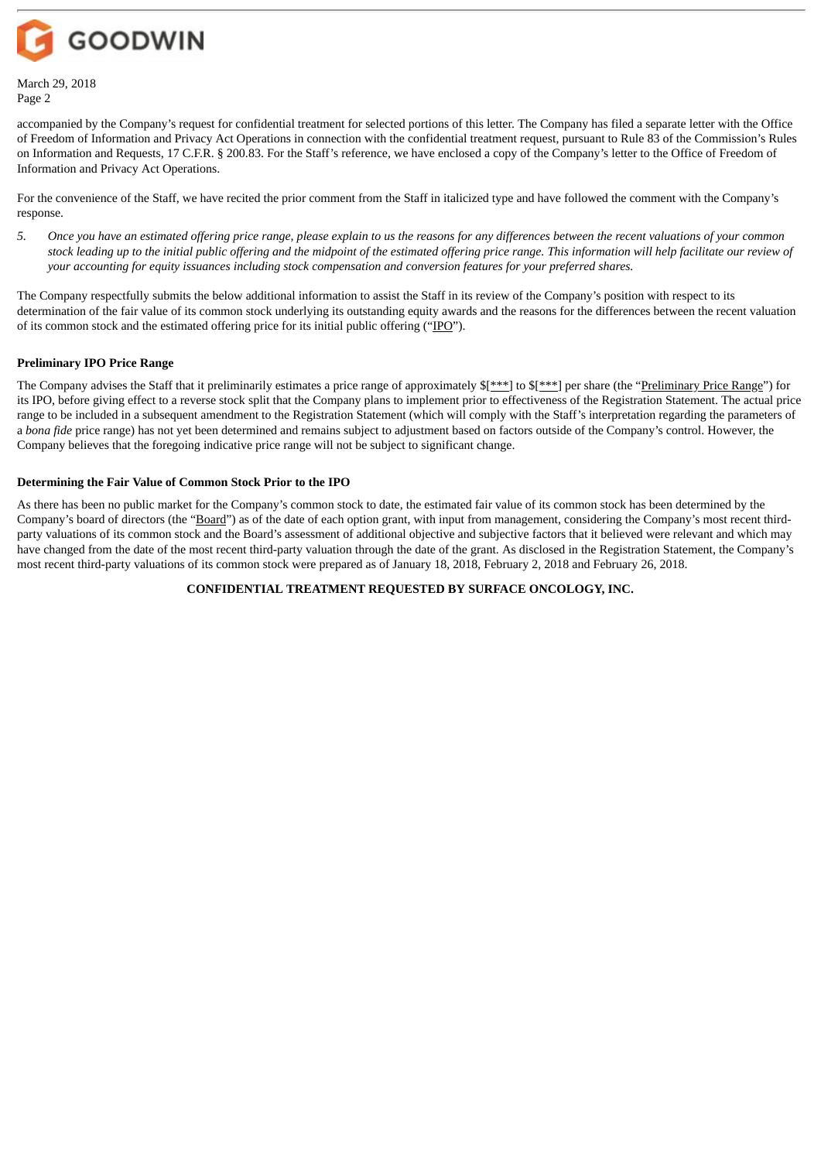

accompanied by the Company's request for confidential treatment for selected portions of this letter. The Company has filed a separate letter with the Office of Freedom of Information and Privacy Act Operations in connection with the confidential treatment request, pursuant to Rule 83 of the Commission's Rules on Information and Requests, 17 C.F.R. § 200.83. For the Staff's reference, we have enclosed a copy of the Company's letter to the Office of Freedom of Information and Privacy Act Operations.

For the convenience of the Staff, we have recited the prior comment from the Staff in italicized type and have followed the comment with the Company's response.

5. Once you have an estimated offering price range, please explain to us the reasons for any differences between the recent valuations of your common stock leading up to the initial public offering and the midpoint of the estimated offering price range. This information will help facilitate our review of *your accounting for equity issuances including stock compensation and conversion features for your preferred shares.*

The Company respectfully submits the below additional information to assist the Staff in its review of the Company's position with respect to its determination of the fair value of its common stock underlying its outstanding equity awards and the reasons for the differences between the recent valuation of its common stock and the estimated offering price for its initial public offering ("IPO").

### **Preliminary IPO Price Range**

The Company advises the Staff that it preliminarily estimates a price range of approximately  $\frac{s}{s}$  to  $\frac{s}{s}$  to  $\frac{s}{s}$  to set the "Preliminary Price Range") for its IPO, before giving effect to a reverse stock split that the Company plans to implement prior to effectiveness of the Registration Statement. The actual price range to be included in a subsequent amendment to the Registration Statement (which will comply with the Staff's interpretation regarding the parameters of a *bona fide* price range) has not yet been determined and remains subject to adjustment based on factors outside of the Company's control. However, the Company believes that the foregoing indicative price range will not be subject to significant change.

## **Determining the Fair Value of Common Stock Prior to the IPO**

As there has been no public market for the Company's common stock to date, the estimated fair value of its common stock has been determined by the Company's board of directors (the "Board") as of the date of each option grant, with input from management, considering the Company's most recent thirdparty valuations of its common stock and the Board's assessment of additional objective and subjective factors that it believed were relevant and which may have changed from the date of the most recent third-party valuation through the date of the grant. As disclosed in the Registration Statement, the Company's most recent third-party valuations of its common stock were prepared as of January 18, 2018, February 2, 2018 and February 26, 2018.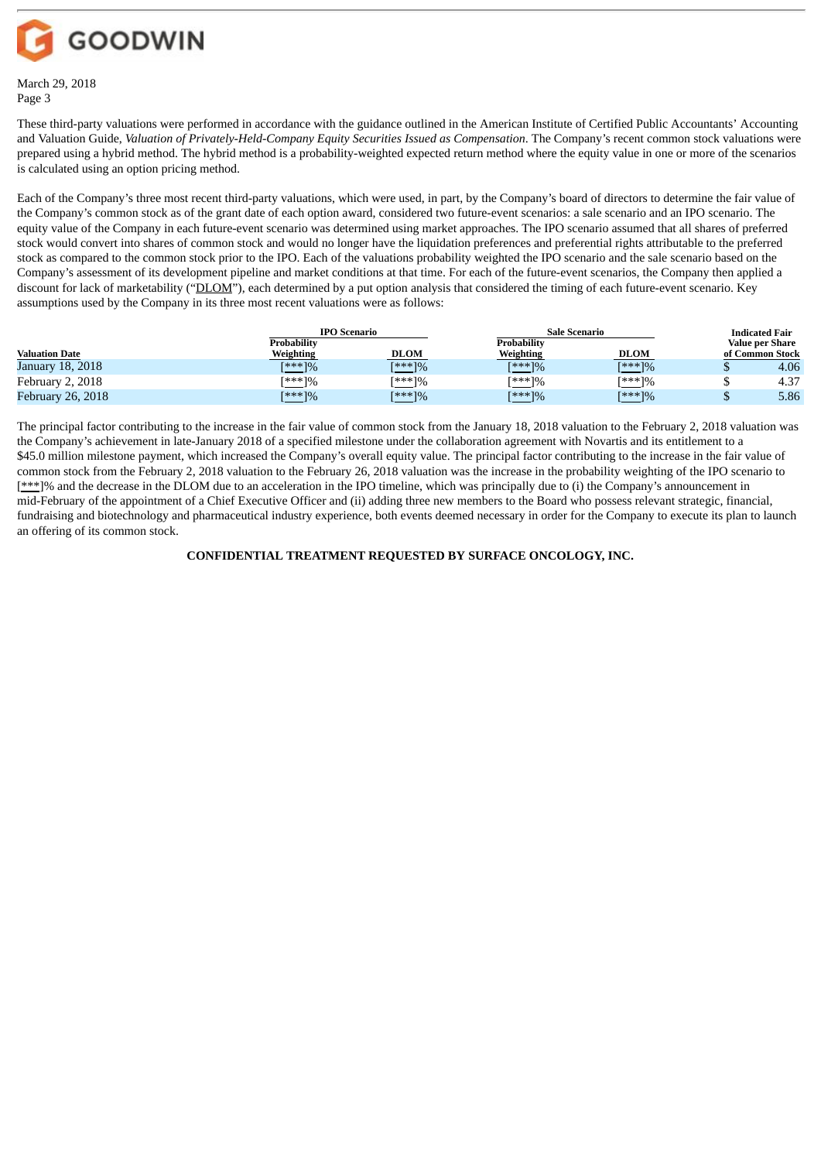

These third-party valuations were performed in accordance with the guidance outlined in the American Institute of Certified Public Accountants' Accounting and Valuation Guide, *Valuation of Privately-Held-Company Equity Securities Issued as Compensation*. The Company's recent common stock valuations were prepared using a hybrid method. The hybrid method is a probability-weighted expected return method where the equity value in one or more of the scenarios is calculated using an option pricing method.

Each of the Company's three most recent third-party valuations, which were used, in part, by the Company's board of directors to determine the fair value of the Company's common stock as of the grant date of each option award, considered two future-event scenarios: a sale scenario and an IPO scenario. The equity value of the Company in each future-event scenario was determined using market approaches. The IPO scenario assumed that all shares of preferred stock would convert into shares of common stock and would no longer have the liquidation preferences and preferential rights attributable to the preferred stock as compared to the common stock prior to the IPO. Each of the valuations probability weighted the IPO scenario and the sale scenario based on the Company's assessment of its development pipeline and market conditions at that time. For each of the future-event scenarios, the Company then applied a discount for lack of marketability ("DLOM"), each determined by a put option analysis that considered the timing of each future-event scenario. Key assumptions used by the Company in its three most recent valuations were as follows:

|                       | <b>IPO Scenario</b> |             | <b>Sale Scenario</b> |             | <b>Indicated Fair</b> |                        |
|-----------------------|---------------------|-------------|----------------------|-------------|-----------------------|------------------------|
|                       | Probability         |             | <b>Probability</b>   |             |                       | <b>Value per Share</b> |
| <b>Valuation Date</b> | Weighting           | <b>DLOM</b> | Weighting            | <b>DLOM</b> |                       | of Common Stock        |
| January 18, 2018      | $5***1%$            | [***]%      | $5***$ ]%            | [***]%      |                       | 4.06                   |
| February 2, 2018      | [***]%              | [***]%      | $5***1%$             | [***]%      |                       | 4.37                   |
| February 26, 2018     | $F***$ ]%           | $[***]%$    | $5***$ ]%            | $[***]%$    |                       | 5.86                   |

The principal factor contributing to the increase in the fair value of common stock from the January 18, 2018 valuation to the February 2, 2018 valuation was the Company's achievement in late-January 2018 of a specified milestone under the collaboration agreement with Novartis and its entitlement to a \$45.0 million milestone payment, which increased the Company's overall equity value. The principal factor contributing to the increase in the fair value of common stock from the February 2, 2018 valuation to the February 26, 2018 valuation was the increase in the probability weighting of the IPO scenario to [\*\*\*]% and the decrease in the DLOM due to an acceleration in the IPO timeline, which was principally due to (i) the Company's announcement in mid-February of the appointment of a Chief Executive Officer and (ii) adding three new members to the Board who possess relevant strategic, financial, fundraising and biotechnology and pharmaceutical industry experience, both events deemed necessary in order for the Company to execute its plan to launch an offering of its common stock.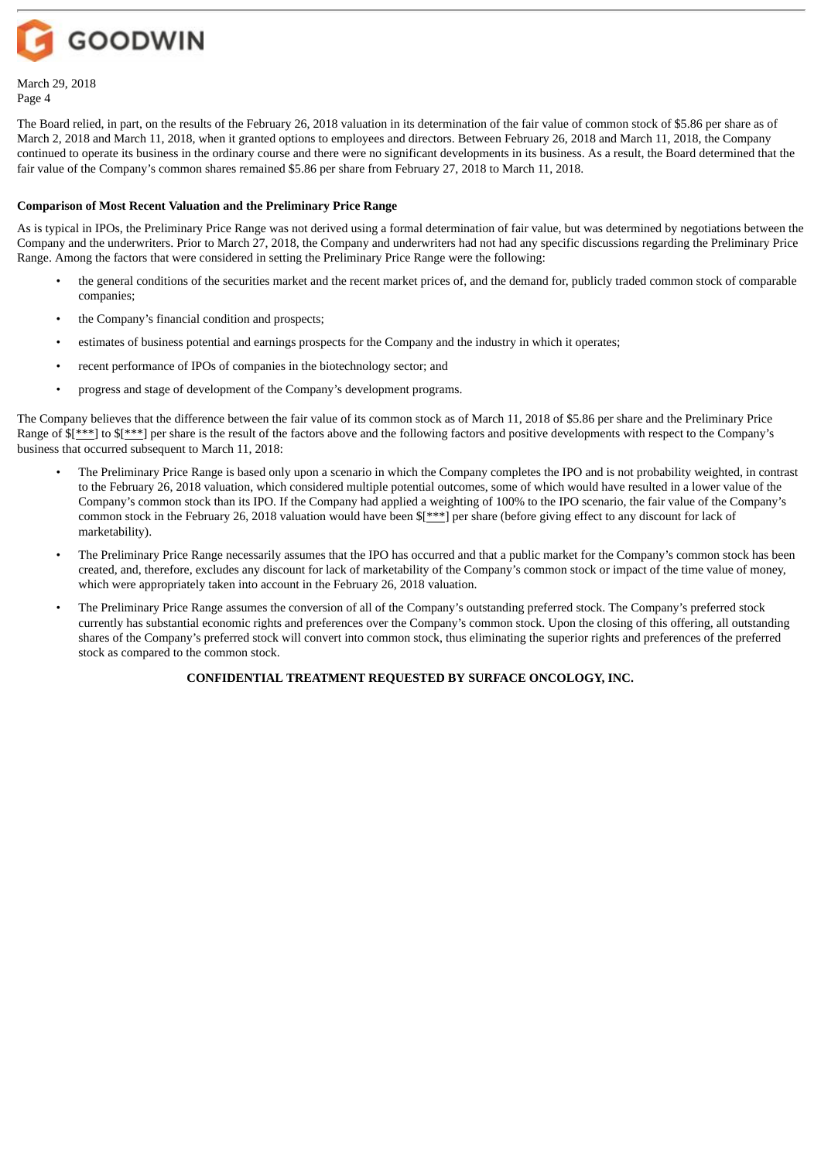

The Board relied, in part, on the results of the February 26, 2018 valuation in its determination of the fair value of common stock of \$5.86 per share as of March 2, 2018 and March 11, 2018, when it granted options to employees and directors. Between February 26, 2018 and March 11, 2018, the Company continued to operate its business in the ordinary course and there were no significant developments in its business. As a result, the Board determined that the fair value of the Company's common shares remained \$5.86 per share from February 27, 2018 to March 11, 2018.

#### **Comparison of Most Recent Valuation and the Preliminary Price Range**

As is typical in IPOs, the Preliminary Price Range was not derived using a formal determination of fair value, but was determined by negotiations between the Company and the underwriters. Prior to March 27, 2018, the Company and underwriters had not had any specific discussions regarding the Preliminary Price Range. Among the factors that were considered in setting the Preliminary Price Range were the following:

- the general conditions of the securities market and the recent market prices of, and the demand for, publicly traded common stock of comparable companies;
- the Company's financial condition and prospects;
- estimates of business potential and earnings prospects for the Company and the industry in which it operates;
- recent performance of IPOs of companies in the biotechnology sector; and
- progress and stage of development of the Company's development programs.

The Company believes that the difference between the fair value of its common stock as of March 11, 2018 of \$5.86 per share and the Preliminary Price Range of  $\{F^{***}\}$  to  $\{F^{***}\}$  per share is the result of the factors above and the following factors and positive developments with respect to the Company's business that occurred subsequent to March 11, 2018:

- The Preliminary Price Range is based only upon a scenario in which the Company completes the IPO and is not probability weighted, in contrast to the February 26, 2018 valuation, which considered multiple potential outcomes, some of which would have resulted in a lower value of the Company's common stock than its IPO. If the Company had applied a weighting of 100% to the IPO scenario, the fair value of the Company's common stock in the February 26, 2018 valuation would have been \$[\*\*\*] per share (before giving effect to any discount for lack of marketability).
- The Preliminary Price Range necessarily assumes that the IPO has occurred and that a public market for the Company's common stock has been created, and, therefore, excludes any discount for lack of marketability of the Company's common stock or impact of the time value of money, which were appropriately taken into account in the February 26, 2018 valuation.
- The Preliminary Price Range assumes the conversion of all of the Company's outstanding preferred stock. The Company's preferred stock currently has substantial economic rights and preferences over the Company's common stock. Upon the closing of this offering, all outstanding shares of the Company's preferred stock will convert into common stock, thus eliminating the superior rights and preferences of the preferred stock as compared to the common stock.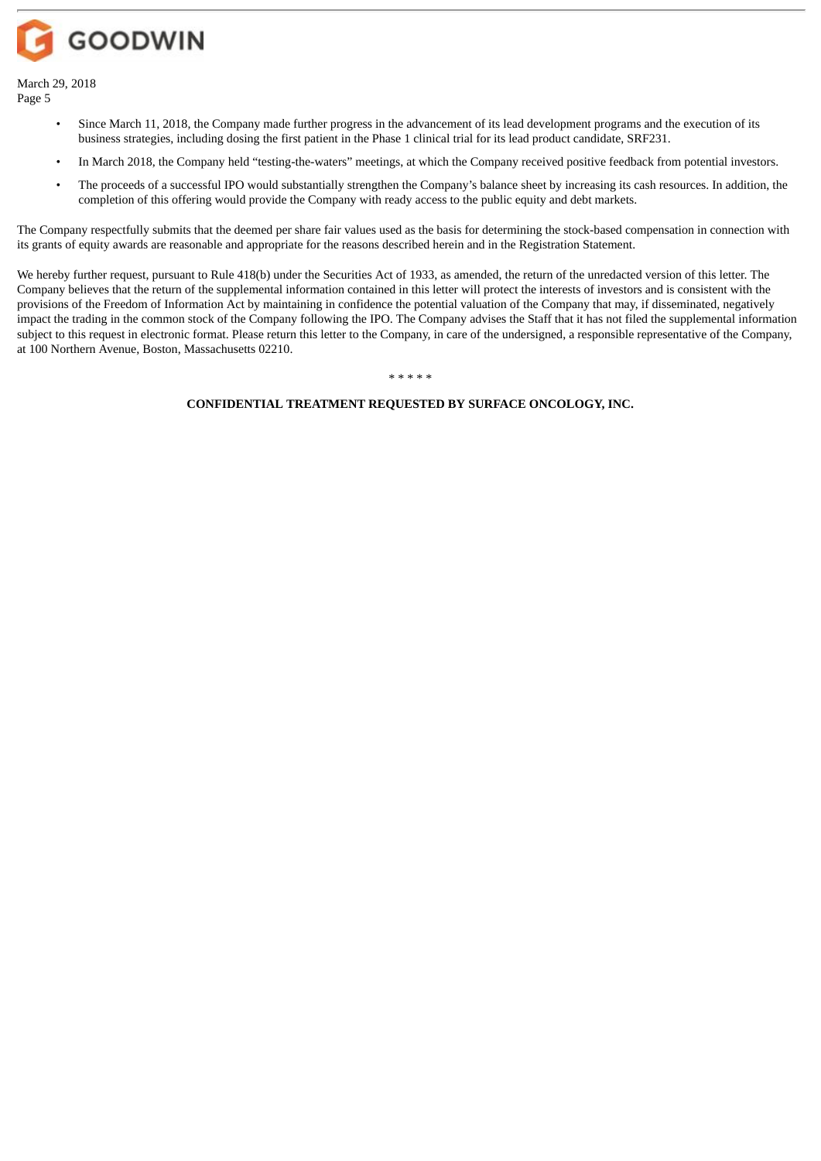

- Since March 11, 2018, the Company made further progress in the advancement of its lead development programs and the execution of its business strategies, including dosing the first patient in the Phase 1 clinical trial for its lead product candidate, SRF231.
- In March 2018, the Company held "testing-the-waters" meetings, at which the Company received positive feedback from potential investors.
- The proceeds of a successful IPO would substantially strengthen the Company's balance sheet by increasing its cash resources. In addition, the completion of this offering would provide the Company with ready access to the public equity and debt markets.

The Company respectfully submits that the deemed per share fair values used as the basis for determining the stock-based compensation in connection with its grants of equity awards are reasonable and appropriate for the reasons described herein and in the Registration Statement.

We hereby further request, pursuant to Rule 418(b) under the Securities Act of 1933, as amended, the return of the unredacted version of this letter. The Company believes that the return of the supplemental information contained in this letter will protect the interests of investors and is consistent with the provisions of the Freedom of Information Act by maintaining in confidence the potential valuation of the Company that may, if disseminated, negatively impact the trading in the common stock of the Company following the IPO. The Company advises the Staff that it has not filed the supplemental information subject to this request in electronic format. Please return this letter to the Company, in care of the undersigned, a responsible representative of the Company, at 100 Northern Avenue, Boston, Massachusetts 02210.